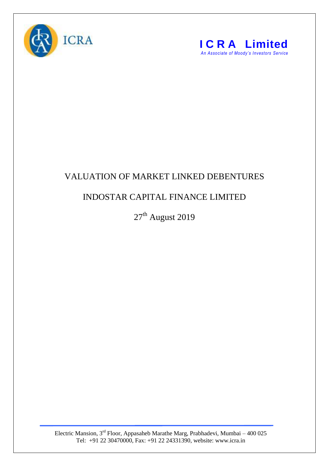



## VALUATION OF MARKET LINKED DEBENTURES

## INDOSTAR CAPITAL FINANCE LIMITED

 $27^{\text{th}}$  August 2019

Electric Mansion, 3<sup>rd</sup> Floor, Appasaheb Marathe Marg, Prabhadevi, Mumbai – 400 025 Tel: +91 22 30470000, Fax: +91 22 24331390, website: www.icra.in